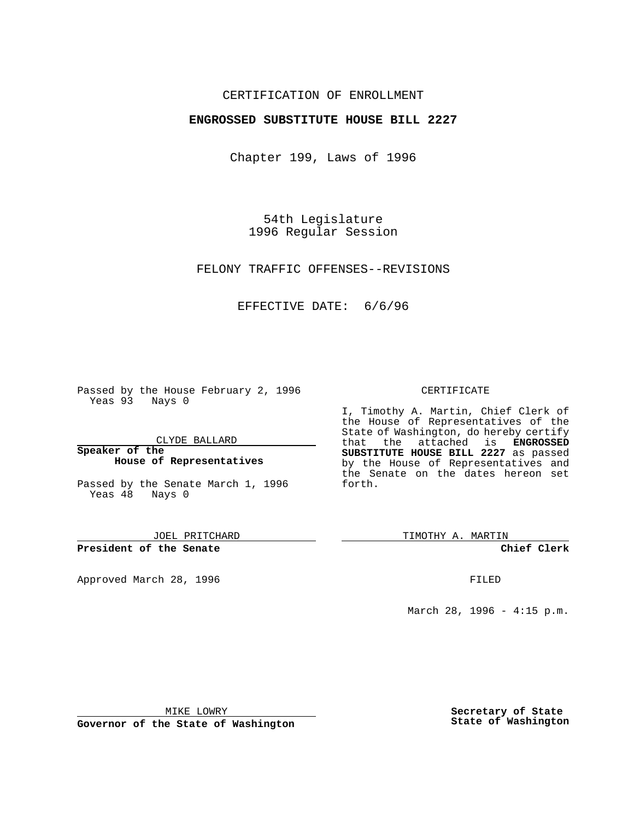# CERTIFICATION OF ENROLLMENT

## **ENGROSSED SUBSTITUTE HOUSE BILL 2227**

Chapter 199, Laws of 1996

54th Legislature 1996 Regular Session

FELONY TRAFFIC OFFENSES--REVISIONS

EFFECTIVE DATE: 6/6/96

Passed by the House February 2, 1996 Yeas 93 Nays 0

CLYDE BALLARD

**Speaker of the House of Representatives**

Passed by the Senate March 1, 1996 Yeas 48 Nays 0

JOEL PRITCHARD

**President of the Senate**

Approved March 28, 1996 FILED

### CERTIFICATE

I, Timothy A. Martin, Chief Clerk of the House of Representatives of the State of Washington, do hereby certify that the attached is **ENGROSSED SUBSTITUTE HOUSE BILL 2227** as passed by the House of Representatives and the Senate on the dates hereon set forth.

TIMOTHY A. MARTIN

**Chief Clerk**

March 28, 1996 - 4:15 p.m.

MIKE LOWRY

**Governor of the State of Washington**

**Secretary of State State of Washington**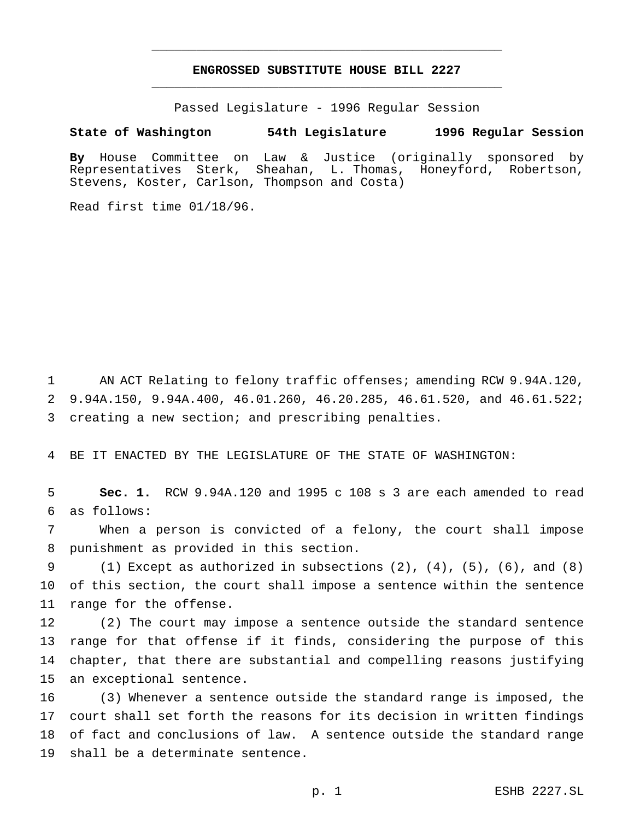# **ENGROSSED SUBSTITUTE HOUSE BILL 2227** \_\_\_\_\_\_\_\_\_\_\_\_\_\_\_\_\_\_\_\_\_\_\_\_\_\_\_\_\_\_\_\_\_\_\_\_\_\_\_\_\_\_\_\_\_\_\_

\_\_\_\_\_\_\_\_\_\_\_\_\_\_\_\_\_\_\_\_\_\_\_\_\_\_\_\_\_\_\_\_\_\_\_\_\_\_\_\_\_\_\_\_\_\_\_

Passed Legislature - 1996 Regular Session

#### **State of Washington 54th Legislature 1996 Regular Session**

**By** House Committee on Law & Justice (originally sponsored by Representatives Sterk, Sheahan, L. Thomas, Honeyford, Robertson, Stevens, Koster, Carlson, Thompson and Costa)

Read first time 01/18/96.

1 AN ACT Relating to felony traffic offenses; amending RCW 9.94A.120, 9.94A.150, 9.94A.400, 46.01.260, 46.20.285, 46.61.520, and 46.61.522; creating a new section; and prescribing penalties.

BE IT ENACTED BY THE LEGISLATURE OF THE STATE OF WASHINGTON:

 **Sec. 1.** RCW 9.94A.120 and 1995 c 108 s 3 are each amended to read as follows:

 When a person is convicted of a felony, the court shall impose punishment as provided in this section.

 (1) Except as authorized in subsections (2), (4), (5), (6), and (8) of this section, the court shall impose a sentence within the sentence range for the offense.

 (2) The court may impose a sentence outside the standard sentence range for that offense if it finds, considering the purpose of this chapter, that there are substantial and compelling reasons justifying an exceptional sentence.

 (3) Whenever a sentence outside the standard range is imposed, the court shall set forth the reasons for its decision in written findings of fact and conclusions of law. A sentence outside the standard range shall be a determinate sentence.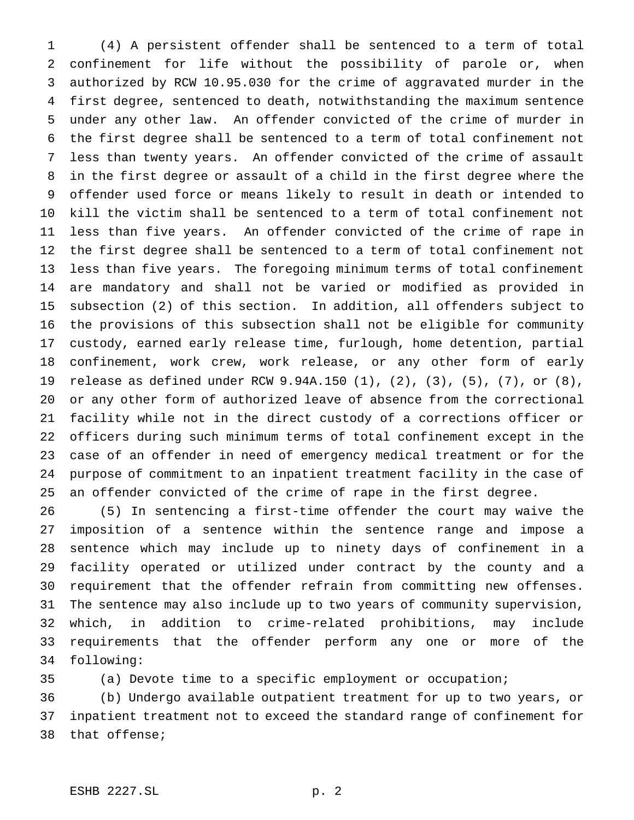(4) A persistent offender shall be sentenced to a term of total confinement for life without the possibility of parole or, when authorized by RCW 10.95.030 for the crime of aggravated murder in the first degree, sentenced to death, notwithstanding the maximum sentence under any other law. An offender convicted of the crime of murder in the first degree shall be sentenced to a term of total confinement not less than twenty years. An offender convicted of the crime of assault in the first degree or assault of a child in the first degree where the offender used force or means likely to result in death or intended to kill the victim shall be sentenced to a term of total confinement not less than five years. An offender convicted of the crime of rape in the first degree shall be sentenced to a term of total confinement not less than five years. The foregoing minimum terms of total confinement are mandatory and shall not be varied or modified as provided in subsection (2) of this section. In addition, all offenders subject to the provisions of this subsection shall not be eligible for community custody, earned early release time, furlough, home detention, partial confinement, work crew, work release, or any other form of early release as defined under RCW 9.94A.150 (1), (2), (3), (5), (7), or (8), or any other form of authorized leave of absence from the correctional facility while not in the direct custody of a corrections officer or officers during such minimum terms of total confinement except in the case of an offender in need of emergency medical treatment or for the purpose of commitment to an inpatient treatment facility in the case of an offender convicted of the crime of rape in the first degree.

 (5) In sentencing a first-time offender the court may waive the imposition of a sentence within the sentence range and impose a sentence which may include up to ninety days of confinement in a facility operated or utilized under contract by the county and a requirement that the offender refrain from committing new offenses. The sentence may also include up to two years of community supervision, which, in addition to crime-related prohibitions, may include requirements that the offender perform any one or more of the following:

(a) Devote time to a specific employment or occupation;

 (b) Undergo available outpatient treatment for up to two years, or inpatient treatment not to exceed the standard range of confinement for that offense;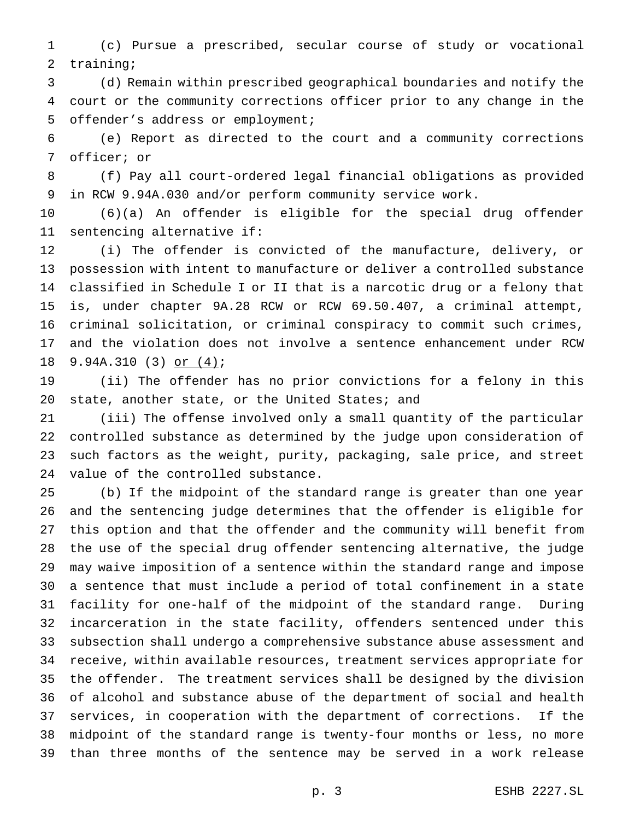(c) Pursue a prescribed, secular course of study or vocational training;

 (d) Remain within prescribed geographical boundaries and notify the court or the community corrections officer prior to any change in the offender's address or employment;

 (e) Report as directed to the court and a community corrections officer; or

 (f) Pay all court-ordered legal financial obligations as provided in RCW 9.94A.030 and/or perform community service work.

 (6)(a) An offender is eligible for the special drug offender sentencing alternative if:

 (i) The offender is convicted of the manufacture, delivery, or possession with intent to manufacture or deliver a controlled substance classified in Schedule I or II that is a narcotic drug or a felony that is, under chapter 9A.28 RCW or RCW 69.50.407, a criminal attempt, criminal solicitation, or criminal conspiracy to commit such crimes, and the violation does not involve a sentence enhancement under RCW 9.94A.310 (3) or (4);

 (ii) The offender has no prior convictions for a felony in this 20 state, another state, or the United States; and

 (iii) The offense involved only a small quantity of the particular controlled substance as determined by the judge upon consideration of such factors as the weight, purity, packaging, sale price, and street value of the controlled substance.

 (b) If the midpoint of the standard range is greater than one year and the sentencing judge determines that the offender is eligible for this option and that the offender and the community will benefit from the use of the special drug offender sentencing alternative, the judge may waive imposition of a sentence within the standard range and impose a sentence that must include a period of total confinement in a state facility for one-half of the midpoint of the standard range. During incarceration in the state facility, offenders sentenced under this subsection shall undergo a comprehensive substance abuse assessment and receive, within available resources, treatment services appropriate for the offender. The treatment services shall be designed by the division of alcohol and substance abuse of the department of social and health services, in cooperation with the department of corrections. If the midpoint of the standard range is twenty-four months or less, no more than three months of the sentence may be served in a work release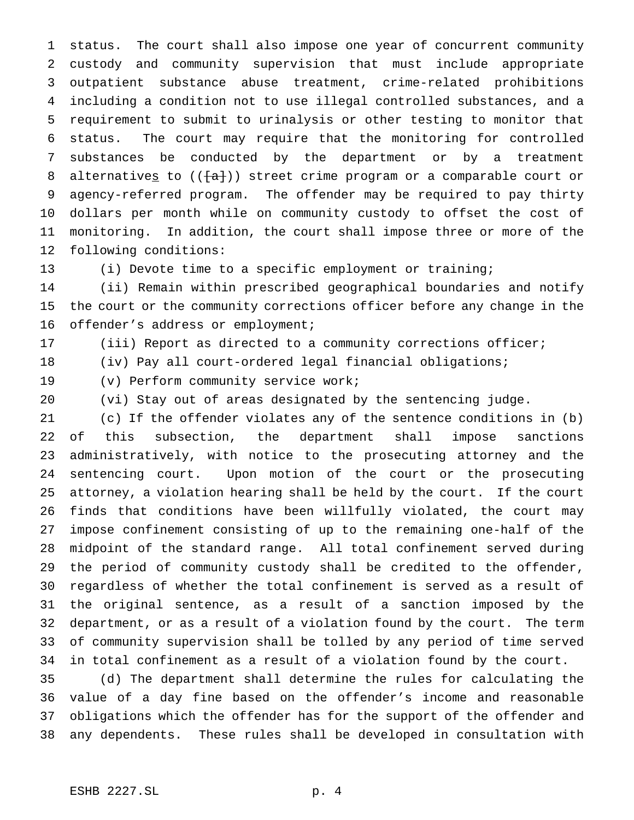status. The court shall also impose one year of concurrent community custody and community supervision that must include appropriate outpatient substance abuse treatment, crime-related prohibitions including a condition not to use illegal controlled substances, and a requirement to submit to urinalysis or other testing to monitor that status. The court may require that the monitoring for controlled substances be conducted by the department or by a treatment 8 alternatives to  $((+a+))$  street crime program or a comparable court or agency-referred program. The offender may be required to pay thirty dollars per month while on community custody to offset the cost of monitoring. In addition, the court shall impose three or more of the following conditions:

(i) Devote time to a specific employment or training;

 (ii) Remain within prescribed geographical boundaries and notify the court or the community corrections officer before any change in the offender's address or employment;

(iii) Report as directed to a community corrections officer;

(iv) Pay all court-ordered legal financial obligations;

(v) Perform community service work;

(vi) Stay out of areas designated by the sentencing judge.

 (c) If the offender violates any of the sentence conditions in (b) of this subsection, the department shall impose sanctions administratively, with notice to the prosecuting attorney and the sentencing court. Upon motion of the court or the prosecuting attorney, a violation hearing shall be held by the court. If the court finds that conditions have been willfully violated, the court may impose confinement consisting of up to the remaining one-half of the midpoint of the standard range. All total confinement served during the period of community custody shall be credited to the offender, regardless of whether the total confinement is served as a result of the original sentence, as a result of a sanction imposed by the department, or as a result of a violation found by the court. The term of community supervision shall be tolled by any period of time served in total confinement as a result of a violation found by the court.

 (d) The department shall determine the rules for calculating the value of a day fine based on the offender's income and reasonable obligations which the offender has for the support of the offender and any dependents. These rules shall be developed in consultation with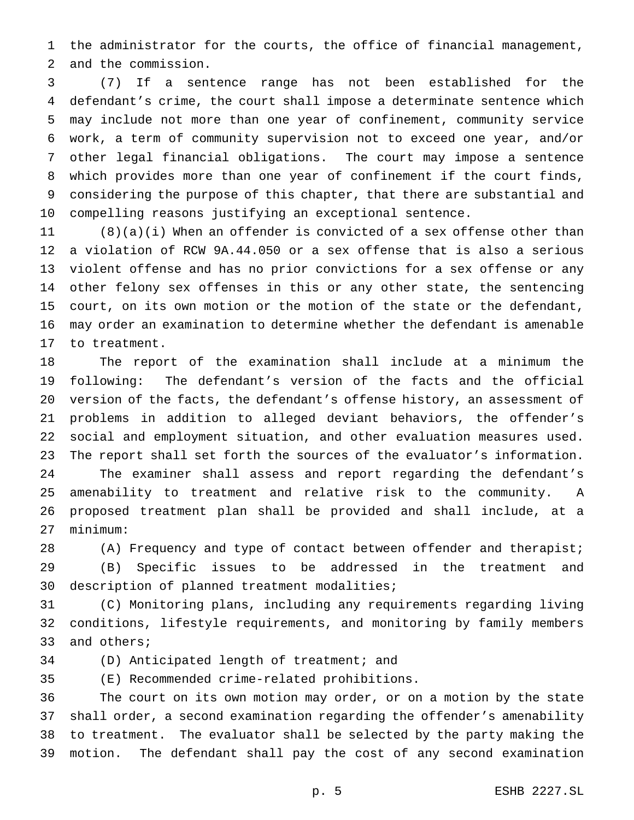the administrator for the courts, the office of financial management, and the commission.

 (7) If a sentence range has not been established for the defendant's crime, the court shall impose a determinate sentence which may include not more than one year of confinement, community service work, a term of community supervision not to exceed one year, and/or other legal financial obligations. The court may impose a sentence which provides more than one year of confinement if the court finds, considering the purpose of this chapter, that there are substantial and compelling reasons justifying an exceptional sentence.

 (8)(a)(i) When an offender is convicted of a sex offense other than a violation of RCW 9A.44.050 or a sex offense that is also a serious violent offense and has no prior convictions for a sex offense or any other felony sex offenses in this or any other state, the sentencing court, on its own motion or the motion of the state or the defendant, may order an examination to determine whether the defendant is amenable to treatment.

 The report of the examination shall include at a minimum the following: The defendant's version of the facts and the official version of the facts, the defendant's offense history, an assessment of problems in addition to alleged deviant behaviors, the offender's social and employment situation, and other evaluation measures used. The report shall set forth the sources of the evaluator's information. The examiner shall assess and report regarding the defendant's amenability to treatment and relative risk to the community. A proposed treatment plan shall be provided and shall include, at a minimum:

 (A) Frequency and type of contact between offender and therapist; (B) Specific issues to be addressed in the treatment and description of planned treatment modalities;

 (C) Monitoring plans, including any requirements regarding living conditions, lifestyle requirements, and monitoring by family members and others;

(D) Anticipated length of treatment; and

(E) Recommended crime-related prohibitions.

 The court on its own motion may order, or on a motion by the state shall order, a second examination regarding the offender's amenability to treatment. The evaluator shall be selected by the party making the motion. The defendant shall pay the cost of any second examination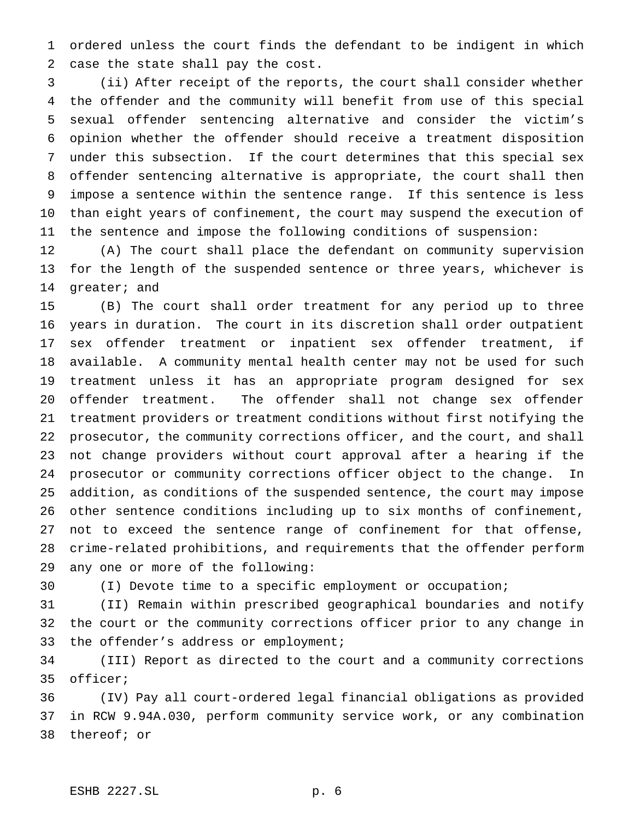ordered unless the court finds the defendant to be indigent in which case the state shall pay the cost.

 (ii) After receipt of the reports, the court shall consider whether the offender and the community will benefit from use of this special sexual offender sentencing alternative and consider the victim's opinion whether the offender should receive a treatment disposition under this subsection. If the court determines that this special sex offender sentencing alternative is appropriate, the court shall then impose a sentence within the sentence range. If this sentence is less than eight years of confinement, the court may suspend the execution of the sentence and impose the following conditions of suspension:

 (A) The court shall place the defendant on community supervision for the length of the suspended sentence or three years, whichever is greater; and

 (B) The court shall order treatment for any period up to three years in duration. The court in its discretion shall order outpatient sex offender treatment or inpatient sex offender treatment, if available. A community mental health center may not be used for such treatment unless it has an appropriate program designed for sex offender treatment. The offender shall not change sex offender treatment providers or treatment conditions without first notifying the prosecutor, the community corrections officer, and the court, and shall not change providers without court approval after a hearing if the prosecutor or community corrections officer object to the change. In addition, as conditions of the suspended sentence, the court may impose other sentence conditions including up to six months of confinement, not to exceed the sentence range of confinement for that offense, crime-related prohibitions, and requirements that the offender perform any one or more of the following:

(I) Devote time to a specific employment or occupation;

 (II) Remain within prescribed geographical boundaries and notify the court or the community corrections officer prior to any change in 33 the offender's address or employment;

 (III) Report as directed to the court and a community corrections officer;

 (IV) Pay all court-ordered legal financial obligations as provided in RCW 9.94A.030, perform community service work, or any combination thereof; or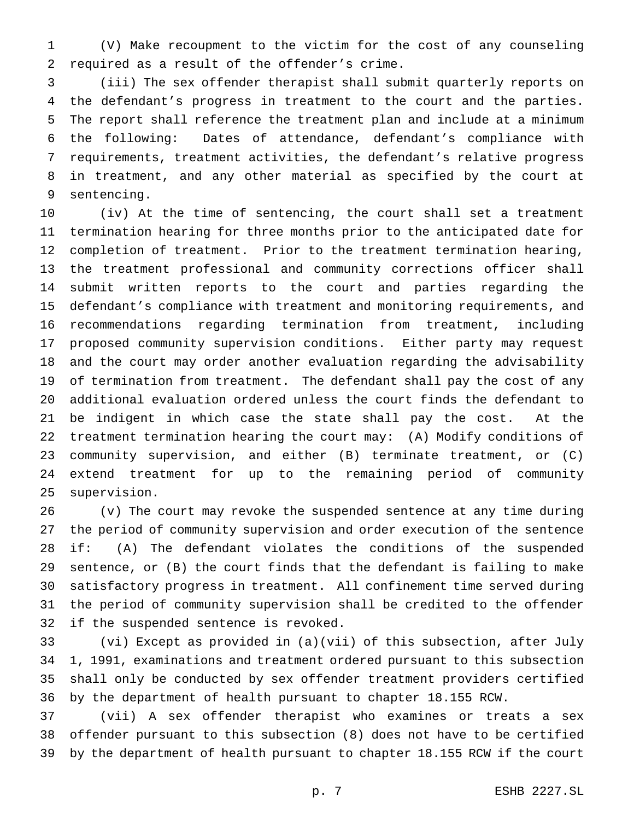(V) Make recoupment to the victim for the cost of any counseling required as a result of the offender's crime.

 (iii) The sex offender therapist shall submit quarterly reports on the defendant's progress in treatment to the court and the parties. The report shall reference the treatment plan and include at a minimum the following: Dates of attendance, defendant's compliance with requirements, treatment activities, the defendant's relative progress in treatment, and any other material as specified by the court at sentencing.

 (iv) At the time of sentencing, the court shall set a treatment termination hearing for three months prior to the anticipated date for completion of treatment. Prior to the treatment termination hearing, the treatment professional and community corrections officer shall submit written reports to the court and parties regarding the defendant's compliance with treatment and monitoring requirements, and recommendations regarding termination from treatment, including proposed community supervision conditions. Either party may request and the court may order another evaluation regarding the advisability of termination from treatment. The defendant shall pay the cost of any additional evaluation ordered unless the court finds the defendant to be indigent in which case the state shall pay the cost. At the treatment termination hearing the court may: (A) Modify conditions of community supervision, and either (B) terminate treatment, or (C) extend treatment for up to the remaining period of community supervision.

 (v) The court may revoke the suspended sentence at any time during the period of community supervision and order execution of the sentence if: (A) The defendant violates the conditions of the suspended sentence, or (B) the court finds that the defendant is failing to make satisfactory progress in treatment. All confinement time served during the period of community supervision shall be credited to the offender if the suspended sentence is revoked.

 (vi) Except as provided in (a)(vii) of this subsection, after July 1, 1991, examinations and treatment ordered pursuant to this subsection shall only be conducted by sex offender treatment providers certified by the department of health pursuant to chapter 18.155 RCW.

 (vii) A sex offender therapist who examines or treats a sex offender pursuant to this subsection (8) does not have to be certified by the department of health pursuant to chapter 18.155 RCW if the court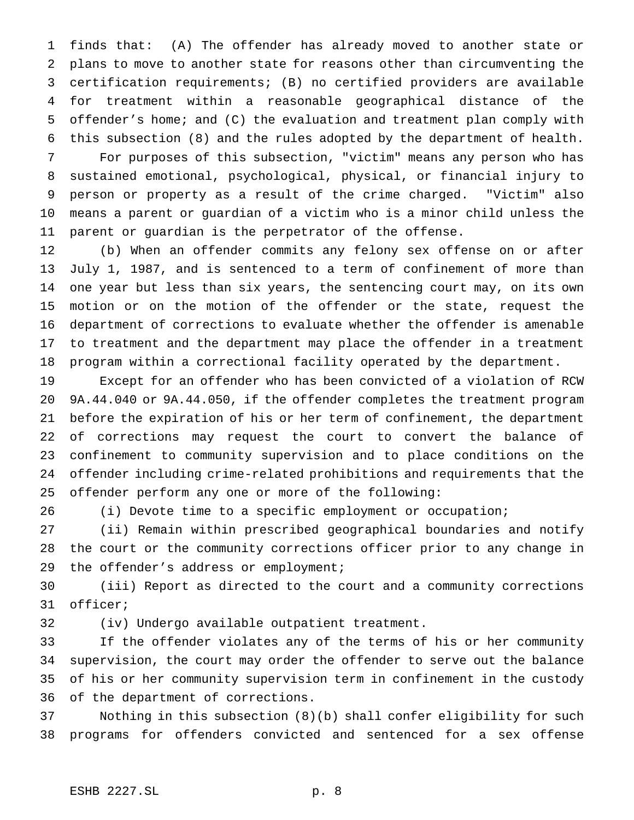finds that: (A) The offender has already moved to another state or plans to move to another state for reasons other than circumventing the certification requirements; (B) no certified providers are available for treatment within a reasonable geographical distance of the offender's home; and (C) the evaluation and treatment plan comply with this subsection (8) and the rules adopted by the department of health.

 For purposes of this subsection, "victim" means any person who has sustained emotional, psychological, physical, or financial injury to person or property as a result of the crime charged. "Victim" also means a parent or guardian of a victim who is a minor child unless the parent or guardian is the perpetrator of the offense.

 (b) When an offender commits any felony sex offense on or after July 1, 1987, and is sentenced to a term of confinement of more than one year but less than six years, the sentencing court may, on its own motion or on the motion of the offender or the state, request the department of corrections to evaluate whether the offender is amenable to treatment and the department may place the offender in a treatment program within a correctional facility operated by the department.

 Except for an offender who has been convicted of a violation of RCW 9A.44.040 or 9A.44.050, if the offender completes the treatment program before the expiration of his or her term of confinement, the department of corrections may request the court to convert the balance of confinement to community supervision and to place conditions on the offender including crime-related prohibitions and requirements that the offender perform any one or more of the following:

(i) Devote time to a specific employment or occupation;

 (ii) Remain within prescribed geographical boundaries and notify the court or the community corrections officer prior to any change in the offender's address or employment;

 (iii) Report as directed to the court and a community corrections officer;

(iv) Undergo available outpatient treatment.

 If the offender violates any of the terms of his or her community supervision, the court may order the offender to serve out the balance of his or her community supervision term in confinement in the custody of the department of corrections.

 Nothing in this subsection (8)(b) shall confer eligibility for such programs for offenders convicted and sentenced for a sex offense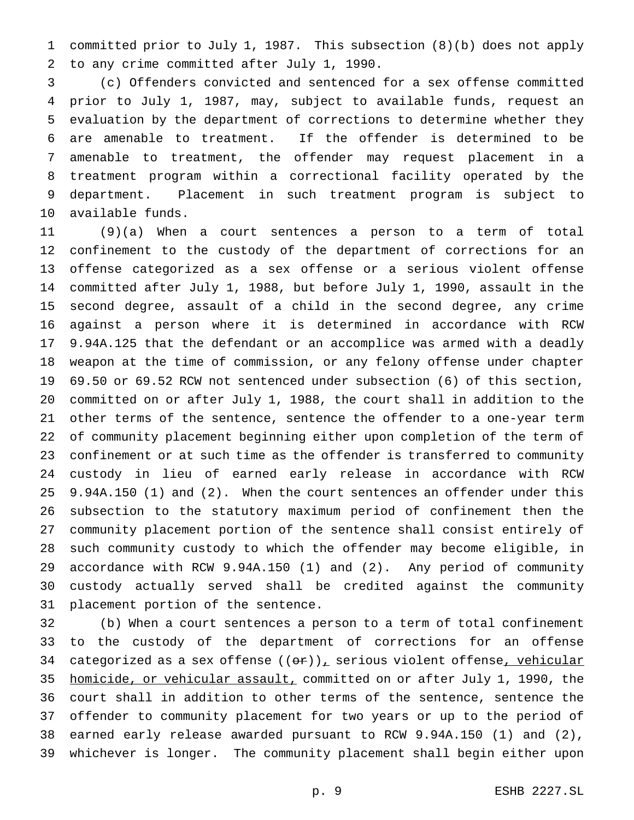committed prior to July 1, 1987. This subsection (8)(b) does not apply to any crime committed after July 1, 1990.

 (c) Offenders convicted and sentenced for a sex offense committed prior to July 1, 1987, may, subject to available funds, request an evaluation by the department of corrections to determine whether they are amenable to treatment. If the offender is determined to be amenable to treatment, the offender may request placement in a treatment program within a correctional facility operated by the department. Placement in such treatment program is subject to available funds.

 (9)(a) When a court sentences a person to a term of total confinement to the custody of the department of corrections for an offense categorized as a sex offense or a serious violent offense committed after July 1, 1988, but before July 1, 1990, assault in the second degree, assault of a child in the second degree, any crime against a person where it is determined in accordance with RCW 9.94A.125 that the defendant or an accomplice was armed with a deadly weapon at the time of commission, or any felony offense under chapter 69.50 or 69.52 RCW not sentenced under subsection (6) of this section, committed on or after July 1, 1988, the court shall in addition to the other terms of the sentence, sentence the offender to a one-year term of community placement beginning either upon completion of the term of confinement or at such time as the offender is transferred to community custody in lieu of earned early release in accordance with RCW 9.94A.150 (1) and (2). When the court sentences an offender under this subsection to the statutory maximum period of confinement then the community placement portion of the sentence shall consist entirely of such community custody to which the offender may become eligible, in accordance with RCW 9.94A.150 (1) and (2). Any period of community custody actually served shall be credited against the community placement portion of the sentence.

 (b) When a court sentences a person to a term of total confinement to the custody of the department of corrections for an offense 34 categorized as a sex offense  $((e^*)_L$  serious violent offense<sub>r</sub> vehicular 35 homicide, or vehicular assault, committed on or after July 1, 1990, the court shall in addition to other terms of the sentence, sentence the offender to community placement for two years or up to the period of earned early release awarded pursuant to RCW 9.94A.150 (1) and (2), whichever is longer. The community placement shall begin either upon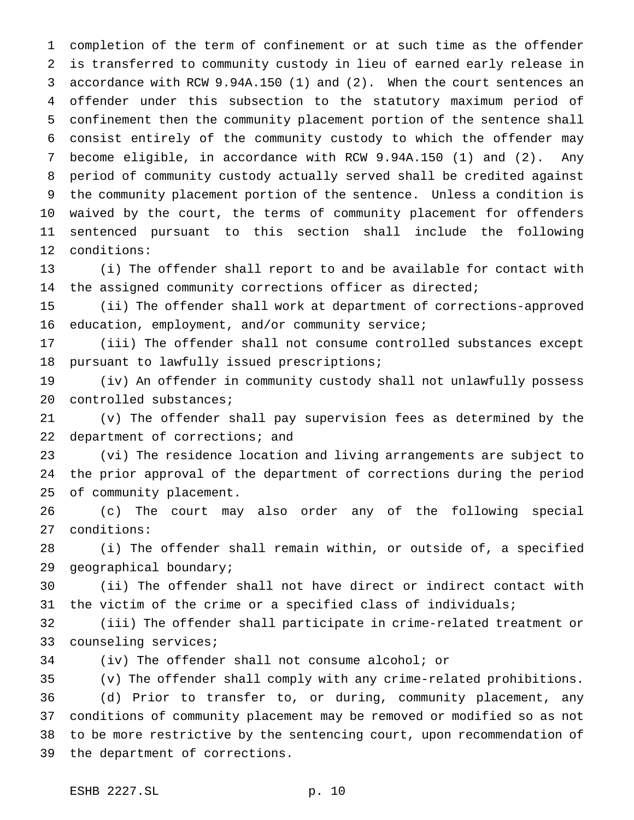completion of the term of confinement or at such time as the offender is transferred to community custody in lieu of earned early release in accordance with RCW 9.94A.150 (1) and (2). When the court sentences an offender under this subsection to the statutory maximum period of confinement then the community placement portion of the sentence shall consist entirely of the community custody to which the offender may become eligible, in accordance with RCW 9.94A.150 (1) and (2). Any period of community custody actually served shall be credited against the community placement portion of the sentence. Unless a condition is waived by the court, the terms of community placement for offenders sentenced pursuant to this section shall include the following conditions:

 (i) The offender shall report to and be available for contact with the assigned community corrections officer as directed;

 (ii) The offender shall work at department of corrections-approved education, employment, and/or community service;

 (iii) The offender shall not consume controlled substances except pursuant to lawfully issued prescriptions;

 (iv) An offender in community custody shall not unlawfully possess 20 controlled substances;

 (v) The offender shall pay supervision fees as determined by the 22 department of corrections; and

 (vi) The residence location and living arrangements are subject to the prior approval of the department of corrections during the period of community placement.

 (c) The court may also order any of the following special conditions:

 (i) The offender shall remain within, or outside of, a specified geographical boundary;

 (ii) The offender shall not have direct or indirect contact with the victim of the crime or a specified class of individuals;

 (iii) The offender shall participate in crime-related treatment or counseling services;

(iv) The offender shall not consume alcohol; or

 (v) The offender shall comply with any crime-related prohibitions. (d) Prior to transfer to, or during, community placement, any conditions of community placement may be removed or modified so as not to be more restrictive by the sentencing court, upon recommendation of the department of corrections.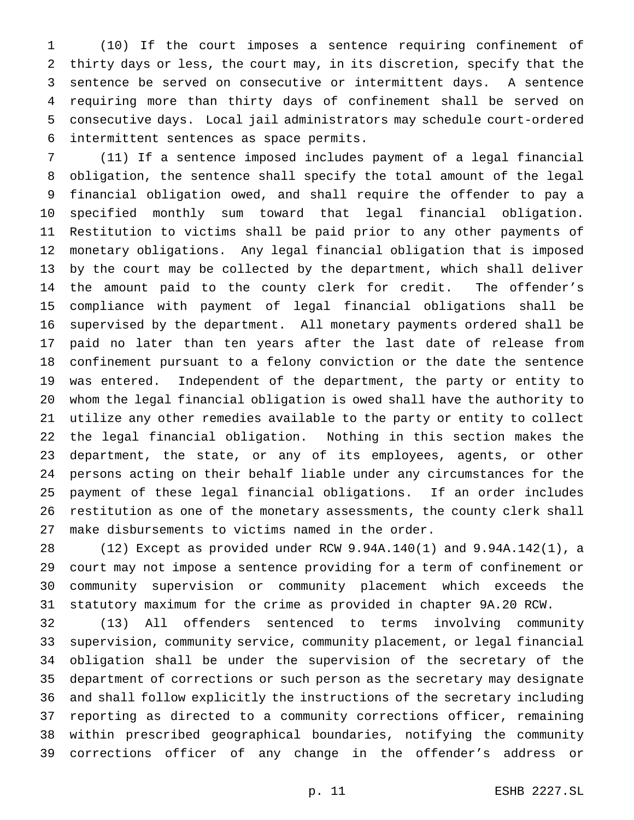(10) If the court imposes a sentence requiring confinement of thirty days or less, the court may, in its discretion, specify that the sentence be served on consecutive or intermittent days. A sentence requiring more than thirty days of confinement shall be served on consecutive days. Local jail administrators may schedule court-ordered intermittent sentences as space permits.

 (11) If a sentence imposed includes payment of a legal financial obligation, the sentence shall specify the total amount of the legal financial obligation owed, and shall require the offender to pay a specified monthly sum toward that legal financial obligation. Restitution to victims shall be paid prior to any other payments of monetary obligations. Any legal financial obligation that is imposed by the court may be collected by the department, which shall deliver the amount paid to the county clerk for credit. The offender's compliance with payment of legal financial obligations shall be supervised by the department. All monetary payments ordered shall be paid no later than ten years after the last date of release from confinement pursuant to a felony conviction or the date the sentence was entered. Independent of the department, the party or entity to whom the legal financial obligation is owed shall have the authority to utilize any other remedies available to the party or entity to collect the legal financial obligation. Nothing in this section makes the department, the state, or any of its employees, agents, or other persons acting on their behalf liable under any circumstances for the payment of these legal financial obligations. If an order includes restitution as one of the monetary assessments, the county clerk shall make disbursements to victims named in the order.

 (12) Except as provided under RCW 9.94A.140(1) and 9.94A.142(1), a court may not impose a sentence providing for a term of confinement or community supervision or community placement which exceeds the statutory maximum for the crime as provided in chapter 9A.20 RCW.

 (13) All offenders sentenced to terms involving community supervision, community service, community placement, or legal financial obligation shall be under the supervision of the secretary of the department of corrections or such person as the secretary may designate and shall follow explicitly the instructions of the secretary including reporting as directed to a community corrections officer, remaining within prescribed geographical boundaries, notifying the community corrections officer of any change in the offender's address or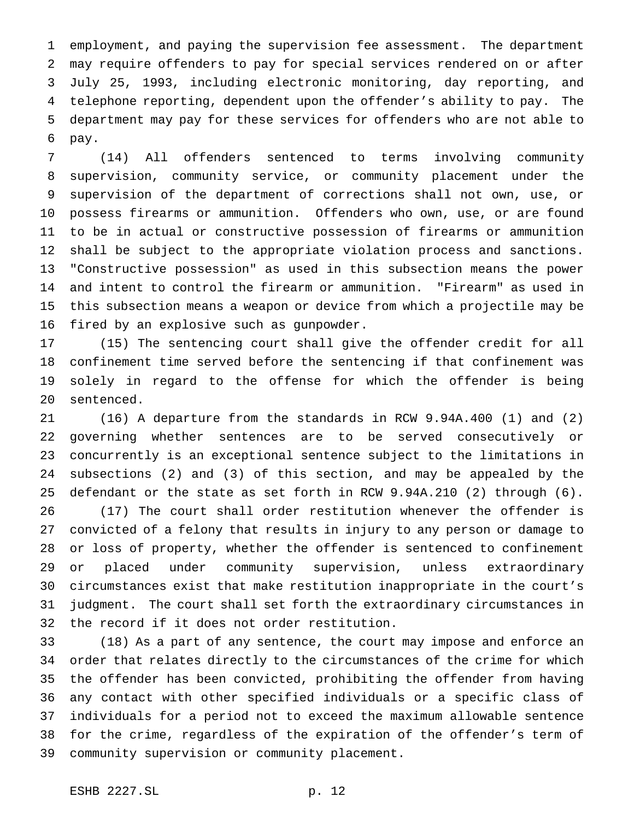employment, and paying the supervision fee assessment. The department may require offenders to pay for special services rendered on or after July 25, 1993, including electronic monitoring, day reporting, and telephone reporting, dependent upon the offender's ability to pay. The department may pay for these services for offenders who are not able to pay.

 (14) All offenders sentenced to terms involving community supervision, community service, or community placement under the supervision of the department of corrections shall not own, use, or possess firearms or ammunition. Offenders who own, use, or are found to be in actual or constructive possession of firearms or ammunition shall be subject to the appropriate violation process and sanctions. "Constructive possession" as used in this subsection means the power and intent to control the firearm or ammunition. "Firearm" as used in this subsection means a weapon or device from which a projectile may be fired by an explosive such as gunpowder.

 (15) The sentencing court shall give the offender credit for all confinement time served before the sentencing if that confinement was solely in regard to the offense for which the offender is being sentenced.

 (16) A departure from the standards in RCW 9.94A.400 (1) and (2) governing whether sentences are to be served consecutively or concurrently is an exceptional sentence subject to the limitations in subsections (2) and (3) of this section, and may be appealed by the defendant or the state as set forth in RCW 9.94A.210 (2) through (6).

 (17) The court shall order restitution whenever the offender is convicted of a felony that results in injury to any person or damage to or loss of property, whether the offender is sentenced to confinement or placed under community supervision, unless extraordinary circumstances exist that make restitution inappropriate in the court's judgment. The court shall set forth the extraordinary circumstances in the record if it does not order restitution.

 (18) As a part of any sentence, the court may impose and enforce an order that relates directly to the circumstances of the crime for which the offender has been convicted, prohibiting the offender from having any contact with other specified individuals or a specific class of individuals for a period not to exceed the maximum allowable sentence for the crime, regardless of the expiration of the offender's term of community supervision or community placement.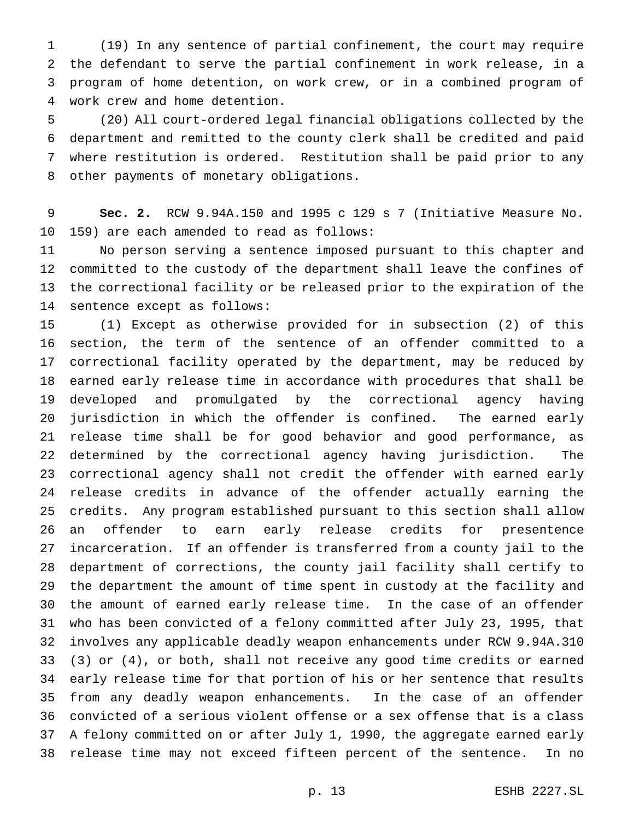(19) In any sentence of partial confinement, the court may require the defendant to serve the partial confinement in work release, in a program of home detention, on work crew, or in a combined program of work crew and home detention.

 (20) All court-ordered legal financial obligations collected by the department and remitted to the county clerk shall be credited and paid where restitution is ordered. Restitution shall be paid prior to any other payments of monetary obligations.

 **Sec. 2.** RCW 9.94A.150 and 1995 c 129 s 7 (Initiative Measure No. 159) are each amended to read as follows:

 No person serving a sentence imposed pursuant to this chapter and committed to the custody of the department shall leave the confines of the correctional facility or be released prior to the expiration of the sentence except as follows:

 (1) Except as otherwise provided for in subsection (2) of this section, the term of the sentence of an offender committed to a correctional facility operated by the department, may be reduced by earned early release time in accordance with procedures that shall be developed and promulgated by the correctional agency having jurisdiction in which the offender is confined. The earned early release time shall be for good behavior and good performance, as determined by the correctional agency having jurisdiction. The correctional agency shall not credit the offender with earned early release credits in advance of the offender actually earning the credits. Any program established pursuant to this section shall allow an offender to earn early release credits for presentence incarceration. If an offender is transferred from a county jail to the department of corrections, the county jail facility shall certify to the department the amount of time spent in custody at the facility and the amount of earned early release time. In the case of an offender who has been convicted of a felony committed after July 23, 1995, that involves any applicable deadly weapon enhancements under RCW 9.94A.310 (3) or (4), or both, shall not receive any good time credits or earned early release time for that portion of his or her sentence that results from any deadly weapon enhancements. In the case of an offender convicted of a serious violent offense or a sex offense that is a class A felony committed on or after July 1, 1990, the aggregate earned early release time may not exceed fifteen percent of the sentence. In no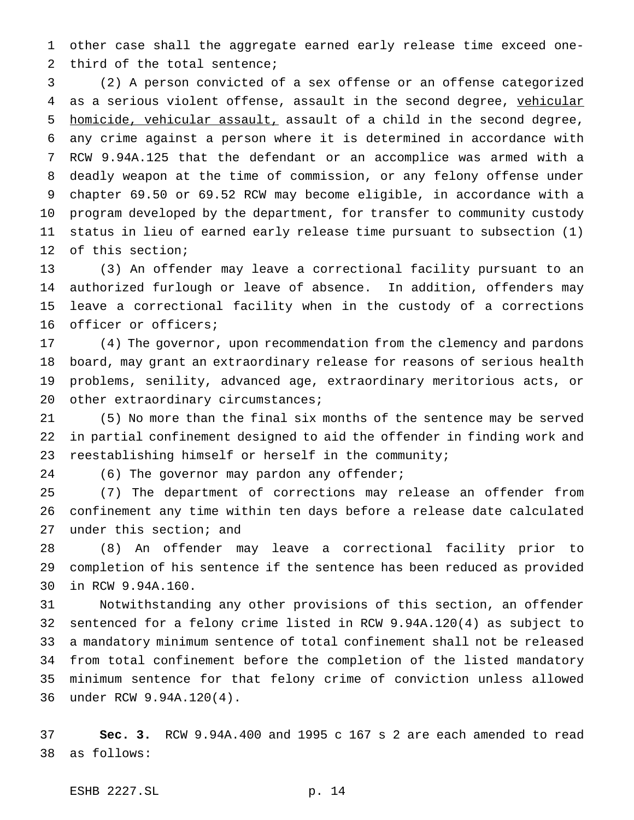other case shall the aggregate earned early release time exceed one-third of the total sentence;

 (2) A person convicted of a sex offense or an offense categorized 4 as a serious violent offense, assault in the second degree, vehicular homicide, vehicular assault, assault of a child in the second degree, any crime against a person where it is determined in accordance with RCW 9.94A.125 that the defendant or an accomplice was armed with a deadly weapon at the time of commission, or any felony offense under chapter 69.50 or 69.52 RCW may become eligible, in accordance with a program developed by the department, for transfer to community custody status in lieu of earned early release time pursuant to subsection (1) of this section;

 (3) An offender may leave a correctional facility pursuant to an authorized furlough or leave of absence. In addition, offenders may leave a correctional facility when in the custody of a corrections officer or officers;

 (4) The governor, upon recommendation from the clemency and pardons board, may grant an extraordinary release for reasons of serious health problems, senility, advanced age, extraordinary meritorious acts, or 20 other extraordinary circumstances;

 (5) No more than the final six months of the sentence may be served in partial confinement designed to aid the offender in finding work and reestablishing himself or herself in the community;

24 (6) The governor may pardon any offender;

 (7) The department of corrections may release an offender from confinement any time within ten days before a release date calculated under this section; and

 (8) An offender may leave a correctional facility prior to completion of his sentence if the sentence has been reduced as provided in RCW 9.94A.160.

 Notwithstanding any other provisions of this section, an offender sentenced for a felony crime listed in RCW 9.94A.120(4) as subject to a mandatory minimum sentence of total confinement shall not be released from total confinement before the completion of the listed mandatory minimum sentence for that felony crime of conviction unless allowed under RCW 9.94A.120(4).

 **Sec. 3.** RCW 9.94A.400 and 1995 c 167 s 2 are each amended to read as follows:

ESHB 2227.SL p. 14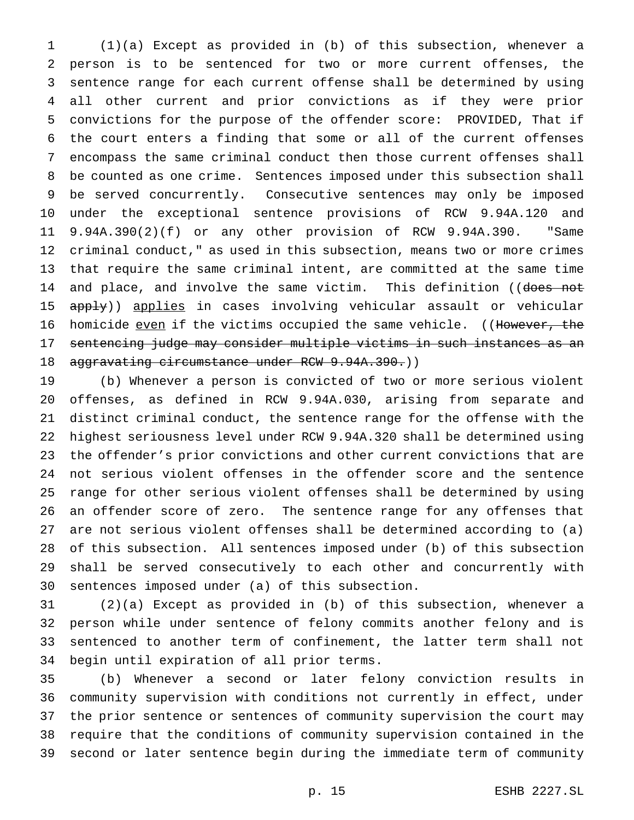(1)(a) Except as provided in (b) of this subsection, whenever a person is to be sentenced for two or more current offenses, the sentence range for each current offense shall be determined by using all other current and prior convictions as if they were prior convictions for the purpose of the offender score: PROVIDED, That if the court enters a finding that some or all of the current offenses encompass the same criminal conduct then those current offenses shall be counted as one crime. Sentences imposed under this subsection shall be served concurrently. Consecutive sentences may only be imposed under the exceptional sentence provisions of RCW 9.94A.120 and 9.94A.390(2)(f) or any other provision of RCW 9.94A.390. "Same criminal conduct," as used in this subsection, means two or more crimes that require the same criminal intent, are committed at the same time 14 and place, and involve the same victim. This definition ((does not 15 apply)) applies in cases involving vehicular assault or vehicular 16 homicide even if the victims occupied the same vehicle. ((However, the 17 sentencing judge may consider multiple victims in such instances as an 18 aggravating circumstance under RCW 9.94A.390.))

 (b) Whenever a person is convicted of two or more serious violent offenses, as defined in RCW 9.94A.030, arising from separate and distinct criminal conduct, the sentence range for the offense with the highest seriousness level under RCW 9.94A.320 shall be determined using the offender's prior convictions and other current convictions that are not serious violent offenses in the offender score and the sentence range for other serious violent offenses shall be determined by using an offender score of zero. The sentence range for any offenses that are not serious violent offenses shall be determined according to (a) of this subsection. All sentences imposed under (b) of this subsection shall be served consecutively to each other and concurrently with sentences imposed under (a) of this subsection.

 (2)(a) Except as provided in (b) of this subsection, whenever a person while under sentence of felony commits another felony and is sentenced to another term of confinement, the latter term shall not begin until expiration of all prior terms.

 (b) Whenever a second or later felony conviction results in community supervision with conditions not currently in effect, under the prior sentence or sentences of community supervision the court may require that the conditions of community supervision contained in the second or later sentence begin during the immediate term of community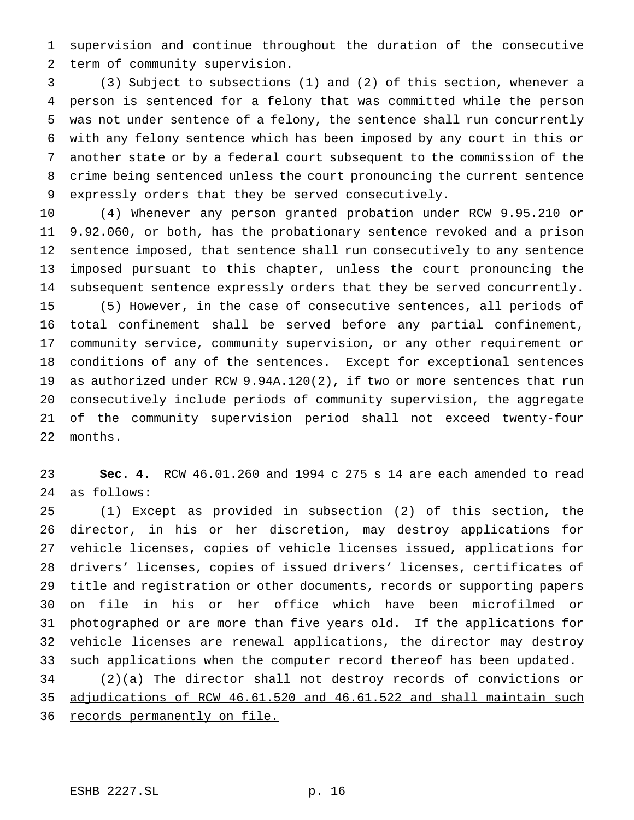supervision and continue throughout the duration of the consecutive term of community supervision.

 (3) Subject to subsections (1) and (2) of this section, whenever a person is sentenced for a felony that was committed while the person was not under sentence of a felony, the sentence shall run concurrently with any felony sentence which has been imposed by any court in this or another state or by a federal court subsequent to the commission of the crime being sentenced unless the court pronouncing the current sentence expressly orders that they be served consecutively.

 (4) Whenever any person granted probation under RCW 9.95.210 or 9.92.060, or both, has the probationary sentence revoked and a prison sentence imposed, that sentence shall run consecutively to any sentence imposed pursuant to this chapter, unless the court pronouncing the subsequent sentence expressly orders that they be served concurrently. (5) However, in the case of consecutive sentences, all periods of total confinement shall be served before any partial confinement, community service, community supervision, or any other requirement or conditions of any of the sentences. Except for exceptional sentences as authorized under RCW 9.94A.120(2), if two or more sentences that run consecutively include periods of community supervision, the aggregate of the community supervision period shall not exceed twenty-four months.

 **Sec. 4.** RCW 46.01.260 and 1994 c 275 s 14 are each amended to read as follows:

 (1) Except as provided in subsection (2) of this section, the director, in his or her discretion, may destroy applications for vehicle licenses, copies of vehicle licenses issued, applications for drivers' licenses, copies of issued drivers' licenses, certificates of title and registration or other documents, records or supporting papers on file in his or her office which have been microfilmed or photographed or are more than five years old. If the applications for vehicle licenses are renewal applications, the director may destroy such applications when the computer record thereof has been updated.

 (2)(a) The director shall not destroy records of convictions or adjudications of RCW 46.61.520 and 46.61.522 and shall maintain such 36 records permanently on file.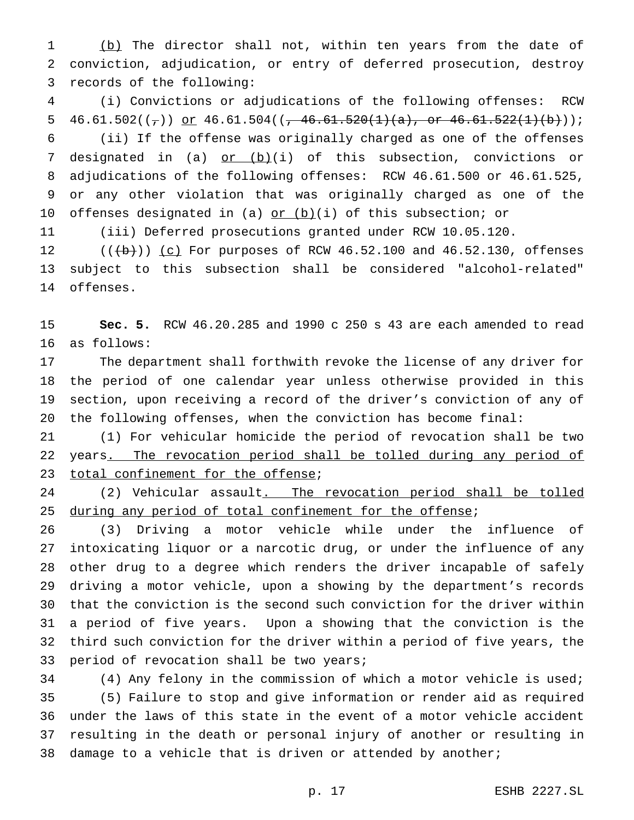1 (b) The director shall not, within ten years from the date of conviction, adjudication, or entry of deferred prosecution, destroy records of the following:

 (i) Convictions or adjudications of the following offenses: RCW 5 46.61.502( $(\tau)$ ) or 46.61.504( $(\tau$  46.61.520(1)(a), or 46.61.522(1)(b))); (ii) If the offense was originally charged as one of the offenses 7 designated in (a) or (b)(i) of this subsection, convictions or adjudications of the following offenses: RCW 46.61.500 or 46.61.525, or any other violation that was originally charged as one of the 10 offenses designated in (a) or (b)(i) of this subsection; or

(iii) Deferred prosecutions granted under RCW 10.05.120.

 $((+b))$   $(c)$  For purposes of RCW 46.52.100 and 46.52.130, offenses subject to this subsection shall be considered "alcohol-related" offenses.

 **Sec. 5.** RCW 46.20.285 and 1990 c 250 s 43 are each amended to read as follows:

 The department shall forthwith revoke the license of any driver for the period of one calendar year unless otherwise provided in this section, upon receiving a record of the driver's conviction of any of the following offenses, when the conviction has become final:

 (1) For vehicular homicide the period of revocation shall be two 22 years. The revocation period shall be tolled during any period of 23 total confinement for the offense;

24 (2) Vehicular assault. The revocation period shall be tolled 25 during any period of total confinement for the offense;

 (3) Driving a motor vehicle while under the influence of intoxicating liquor or a narcotic drug, or under the influence of any other drug to a degree which renders the driver incapable of safely driving a motor vehicle, upon a showing by the department's records that the conviction is the second such conviction for the driver within a period of five years. Upon a showing that the conviction is the third such conviction for the driver within a period of five years, the 33 period of revocation shall be two years;

 (4) Any felony in the commission of which a motor vehicle is used; (5) Failure to stop and give information or render aid as required under the laws of this state in the event of a motor vehicle accident resulting in the death or personal injury of another or resulting in 38 damage to a vehicle that is driven or attended by another;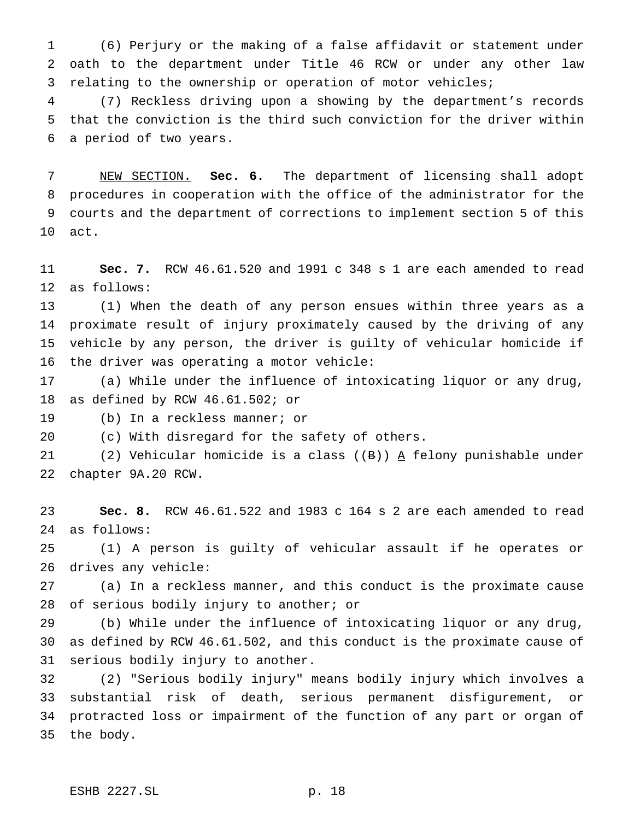(6) Perjury or the making of a false affidavit or statement under oath to the department under Title 46 RCW or under any other law relating to the ownership or operation of motor vehicles;

 (7) Reckless driving upon a showing by the department's records that the conviction is the third such conviction for the driver within a period of two years.

 NEW SECTION. **Sec. 6.** The department of licensing shall adopt procedures in cooperation with the office of the administrator for the courts and the department of corrections to implement section 5 of this act.

 **Sec. 7.** RCW 46.61.520 and 1991 c 348 s 1 are each amended to read as follows:

 (1) When the death of any person ensues within three years as a proximate result of injury proximately caused by the driving of any vehicle by any person, the driver is guilty of vehicular homicide if the driver was operating a motor vehicle:

 (a) While under the influence of intoxicating liquor or any drug, as defined by RCW 46.61.502; or

(b) In a reckless manner; or

(c) With disregard for the safety of others.

21 (2) Vehicular homicide is a class ( $(B)$ ) A felony punishable under chapter 9A.20 RCW.

 **Sec. 8.** RCW 46.61.522 and 1983 c 164 s 2 are each amended to read as follows:

 (1) A person is guilty of vehicular assault if he operates or drives any vehicle:

 (a) In a reckless manner, and this conduct is the proximate cause 28 of serious bodily injury to another; or

 (b) While under the influence of intoxicating liquor or any drug, as defined by RCW 46.61.502, and this conduct is the proximate cause of serious bodily injury to another.

 (2) "Serious bodily injury" means bodily injury which involves a substantial risk of death, serious permanent disfigurement, or protracted loss or impairment of the function of any part or organ of the body.